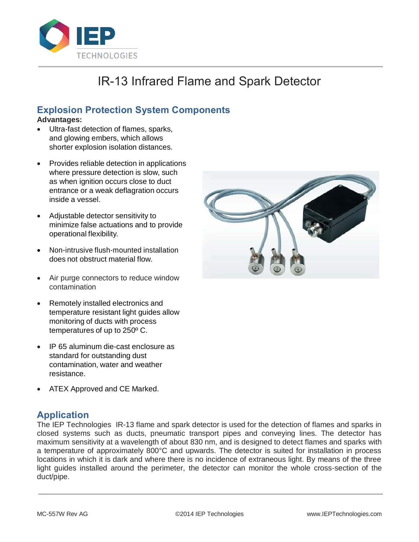

# IR-13 Infrared Flame and Spark Detector

## **Explosion Protection System Components**

#### **Advantages:**

- Ultra-fast detection of flames, sparks, and glowing embers, which allows shorter explosion isolation distances.
- Provides reliable detection in applications where pressure detection is slow, such as when ignition occurs close to duct entrance or a weak deflagration occurs inside a vessel.
- Adjustable detector sensitivity to minimize false actuations and to provide operational flexibility.
- Non-intrusive flush-mounted installation does not obstruct material flow.
- Air purge connectors to reduce window contamination
- Remotely installed electronics and temperature resistant light guides allow monitoring of ducts with process temperatures of up to 250º C.
- IP 65 aluminum die-cast enclosure as standard for outstanding dust contamination, water and weather resistance.
- ATEX Approved and CE Marked.

## **Application**

The IEP Technologies IR-13 flame and spark detector is used for the detection of flames and sparks in closed systems such as ducts, pneumatic transport pipes and conveying lines. The detector has maximum sensitivity at a wavelength of about 830 nm, and is designed to detect flames and sparks with a temperature of approximately 800°C and upwards. The detector is suited for installation in process locations in which it is dark and where there is no incidence of extraneous light. By means of the three light guides installed around the perimeter, the detector can monitor the whole cross-section of the duct/pipe.